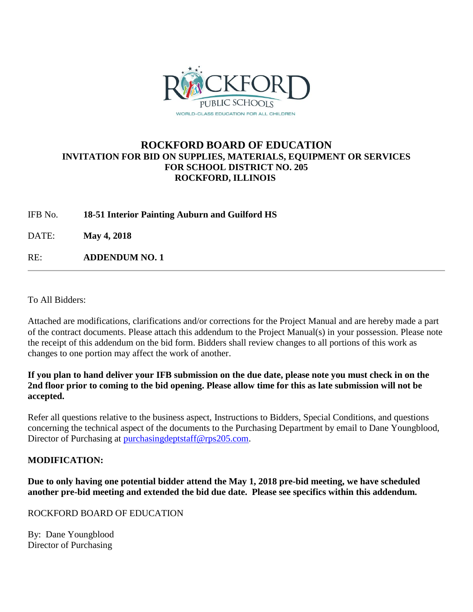

# **ROCKFORD BOARD OF EDUCATION INVITATION FOR BID ON SUPPLIES, MATERIALS, EQUIPMENT OR SERVICES FOR SCHOOL DISTRICT NO. 205 ROCKFORD, ILLINOIS**

IFB No. **18-51 Interior Painting Auburn and Guilford HS**

DATE: **May 4, 2018**

RE: **ADDENDUM NO. 1**

To All Bidders:

Attached are modifications, clarifications and/or corrections for the Project Manual and are hereby made a part of the contract documents. Please attach this addendum to the Project Manual(s) in your possession. Please note the receipt of this addendum on the bid form. Bidders shall review changes to all portions of this work as changes to one portion may affect the work of another.

# **If you plan to hand deliver your IFB submission on the due date, please note you must check in on the 2nd floor prior to coming to the bid opening. Please allow time for this as late submission will not be accepted.**

Refer all questions relative to the business aspect, Instructions to Bidders, Special Conditions, and questions concerning the technical aspect of the documents to the Purchasing Department by email to Dane Youngblood, Director of Purchasing at [purchasingdeptstaff@rps205.com.](mailto:purchasingdeptstaff@rps205.com)

# **MODIFICATION:**

**Due to only having one potential bidder attend the May 1, 2018 pre-bid meeting, we have scheduled another pre-bid meeting and extended the bid due date. Please see specifics within this addendum.**

ROCKFORD BOARD OF EDUCATION

By: Dane Youngblood Director of Purchasing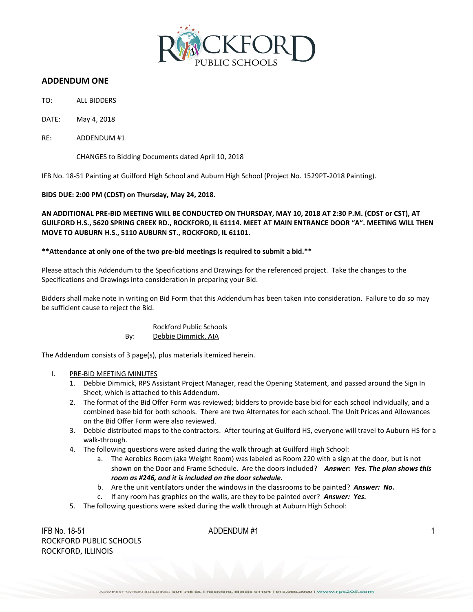

# **ADDENDUM ONE**

- TO: ALL BIDDERS
- DATE: May 4, 2018
- RE: ADDENDUM #1

CHANGES to Bidding Documents dated April 10, 2018

IFB No. 18-51 Painting at Guilford High School and Auburn High School (Project No. 1529PT-2018 Painting).

**BIDS DUE: 2:00 PM (CDST) on Thursday, May 24, 2018.**

**AN ADDITIONAL PRE-BID MEETING WILL BE CONDUCTED ON THURSDAY, MAY 10, 2018 AT 2:30 P.M. (CDST or CST), AT GUILFORD H.S., 5620 SPRING CREEK RD., ROCKFORD, IL 61114. MEET AT MAIN ENTRANCE DOOR "A". MEETING WILL THEN MOVE TO AUBURN H.S., 5110 AUBURN ST., ROCKFORD, IL 61101.**

### **\*\*Attendance at only one of the two pre-bid meetings is required to submit a bid.\*\***

Please attach this Addendum to the Specifications and Drawings for the referenced project. Take the changes to the Specifications and Drawings into consideration in preparing your Bid.

Bidders shall make note in writing on Bid Form that this Addendum has been taken into consideration. Failure to do so may be sufficient cause to reject the Bid.

# Rockford Public Schools By: Debbie Dimmick, AIA

The Addendum consists of 3 page(s), plus materials itemized herein.

## I. PRE-BID MEETING MINUTES

- 1. Debbie Dimmick, RPS Assistant Project Manager, read the Opening Statement, and passed around the Sign In Sheet, which is attached to this Addendum.
- 2. The format of the Bid Offer Form was reviewed; bidders to provide base bid for each school individually, and a combined base bid for both schools. There are two Alternates for each school. The Unit Prices and Allowances on the Bid Offer Form were also reviewed.
- 3. Debbie distributed maps to the contractors. After touring at Guilford HS, everyone will travel to Auburn HS for a walk-through.
- 4. The following questions were asked during the walk through at Guilford High School:
	- a. The Aerobics Room (aka Weight Room) was labeled as Room 220 with a sign at the door, but is not shown on the Door and Frame Schedule. Are the doors included? *Answer: Yes. The plan shows this room as #246, and it is included on the door schedule.*
	- b. Are the unit ventilators under the windows in the classrooms to be painted? *Answer: No.*
	- c. If any room has graphics on the walls, are they to be painted over? *Answer: Yes.*
- 5. The following questions were asked during the walk through at Auburn High School:

IFB No. 18-51  $ADDENDUM #1$  1 ROCKFORD PUBLIC SCHOOLS ROCKFORD, ILLINOIS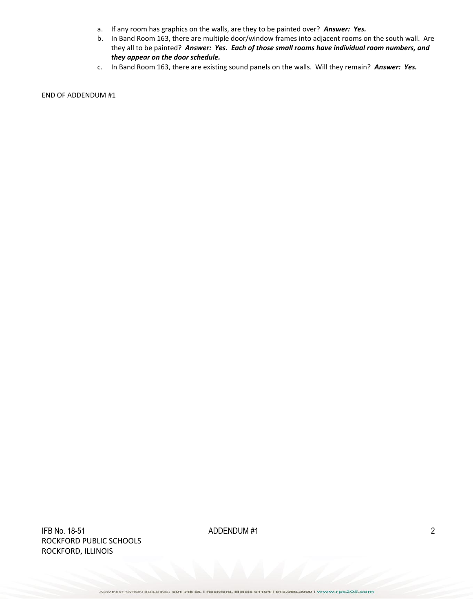- a. If any room has graphics on the walls, are they to be painted over? *Answer: Yes.*
- b. In Band Room 163, there are multiple door/window frames into adjacent rooms on the south wall. Are they all to be painted? *Answer: Yes. Each of those small rooms have individual room numbers, and they appear on the door schedule.*
- c. In Band Room 163, there are existing sound panels on the walls. Will they remain? *Answer: Yes.*

END OF ADDENDUM #1

 $\Delta$ IFB No. 18-51  $\Delta$  2 ROCKFORD PUBLIC SCHOOLS ROCKFORD, ILLINOIS